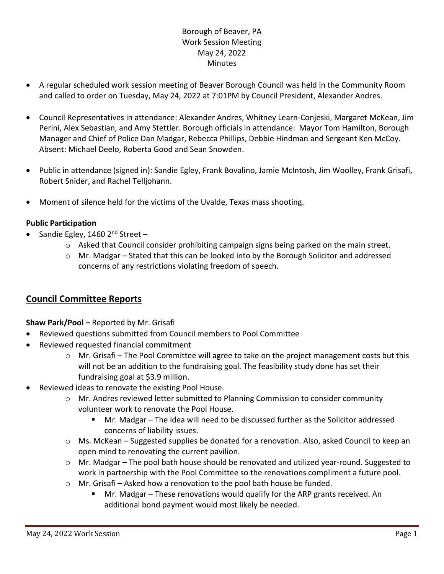# Borough of Beaver, PA Work Session Meeting May 24, 2022 **Minutes**

- A regular scheduled work session meeting of Beaver Borough Council was held in the Community Room and called to order on Tuesday, May 24, 2022 at 7:01PM by Council President, Alexander Andres.
- Council Representatives in attendance: Alexander Andres, Whitney Learn-Conjeski, Margaret McKean, Jim Perini, Alex Sebastian, and Amy Stettler. Borough officials in attendance: Mayor Tom Hamilton, Borough Manager and Chief of Police Dan Madgar, Rebecca Phillips, Debbie Hindman and Sergeant Ken McCoy. Absent: Michael Deelo, Roberta Good and Sean Snowden.
- Public in attendance (signed in): Sandie Egley, Frank Bovalino, Jamie McIntosh, Jim Woolley, Frank Grisafi, Robert Snider, and Rachel Telljohann.
- Moment of silence held for the victims of the Uvalde, Texas mass shooting.

### **Public Participation**

- Sandie Egley, 1460  $2^{nd}$  Street
	- $\circ$  Asked that Council consider prohibiting campaign signs being parked on the main street.
	- $\circ$  Mr. Madgar Stated that this can be looked into by the Borough Solicitor and addressed concerns of any restrictions violating freedom of speech.

# **Council Committee Reports**

### **Shaw Park/Pool –** Reported by Mr. Grisafi

- Reviewed questions submitted from Council members to Pool Committee
- Reviewed requested financial commitment
	- $\circ$  Mr. Grisafi The Pool Committee will agree to take on the project management costs but this will not be an addition to the fundraising goal. The feasibility study done has set their fundraising goal at \$3.9 million.
- Reviewed ideas to renovate the existing Pool House.
	- o Mr. Andres reviewed letter submitted to Planning Commission to consider community volunteer work to renovate the Pool House.
		- Mr. Madgar The idea will need to be discussed further as the Solicitor addressed concerns of liability issues.
	- $\circ$  Ms. McKean Suggested supplies be donated for a renovation. Also, asked Council to keep an open mind to renovating the current pavilion.
	- o Mr. Madgar The pool bath house should be renovated and utilized year-round. Suggested to work in partnership with the Pool Committee so the renovations compliment a future pool.
	- o Mr. Grisafi Asked how a renovation to the pool bath house be funded.
		- Mr. Madgar These renovations would qualify for the ARP grants received. An additional bond payment would most likely be needed.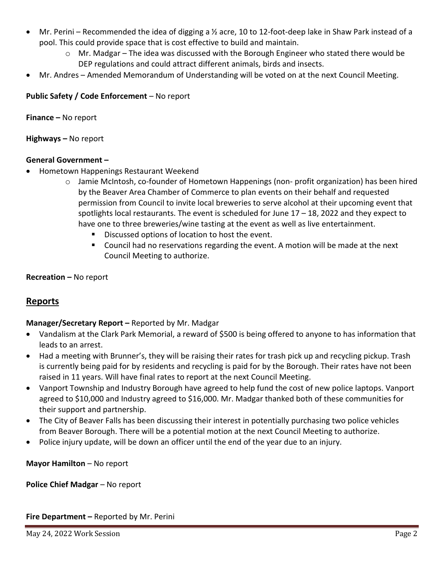- Mr. Perini Recommended the idea of digging a ½ acre, 10 to 12-foot-deep lake in Shaw Park instead of a pool. This could provide space that is cost effective to build and maintain.
	- $\circ$  Mr. Madgar The idea was discussed with the Borough Engineer who stated there would be DEP regulations and could attract different animals, birds and insects.
- Mr. Andres Amended Memorandum of Understanding will be voted on at the next Council Meeting.

## **Public Safety / Code Enforcement** – No report

**Finance –** No report

**Highways –** No report

#### **General Government –**

- Hometown Happenings Restaurant Weekend
	- o Jamie McIntosh, co-founder of Hometown Happenings (non- profit organization) has been hired by the Beaver Area Chamber of Commerce to plan events on their behalf and requested permission from Council to invite local breweries to serve alcohol at their upcoming event that spotlights local restaurants. The event is scheduled for June 17 – 18, 2022 and they expect to have one to three breweries/wine tasting at the event as well as live entertainment.
		- Discussed options of location to host the event.
		- Council had no reservations regarding the event. A motion will be made at the next Council Meeting to authorize.

**Recreation –** No report

# **Reports**

### **Manager/Secretary Report –** Reported by Mr. Madgar

- Vandalism at the Clark Park Memorial, a reward of \$500 is being offered to anyone to has information that leads to an arrest.
- Had a meeting with Brunner's, they will be raising their rates for trash pick up and recycling pickup. Trash is currently being paid for by residents and recycling is paid for by the Borough. Their rates have not been raised in 11 years. Will have final rates to report at the next Council Meeting.
- Vanport Township and Industry Borough have agreed to help fund the cost of new police laptops. Vanport agreed to \$10,000 and Industry agreed to \$16,000. Mr. Madgar thanked both of these communities for their support and partnership.
- The City of Beaver Falls has been discussing their interest in potentially purchasing two police vehicles from Beaver Borough. There will be a potential motion at the next Council Meeting to authorize.
- Police injury update, will be down an officer until the end of the year due to an injury.

**Mayor Hamilton** – No report

**Police Chief Madgar** – No report

**Fire Department –** Reported by Mr. Perini